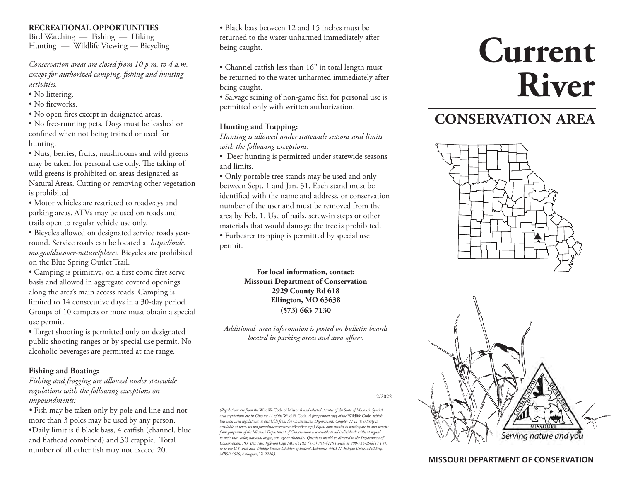#### **RECREATIONAL OPPORTUNITIES**

Bird Watching — Fishing — Hiking Hunting — Wildlife Viewing — Bicycling

*Conservation areas are closed from 10 p.m. to 4 a.m. except for authorized camping, fishing and hunting activities.*

- No littering.
- No fireworks.
- No open fires except in designated areas.

• No free-running pets. Dogs must be leashed or confined when not being trained or used for hunting.

• Nuts, berries, fruits, mushrooms and wild greens may be taken for personal use only. The taking of wild greens is prohibited on areas designated as Natural Areas. Cutting or removing other vegetation is prohibited.

• Motor vehicles are restricted to roadways and parking areas. ATVs may be used on roads and trails open to regular vehicle use only.

• Bicycles allowed on designated service roads yearround. Service roads can be located at *https://mdc. mo.gov/discover-nature/places.* Bicycles are prohibited on the Blue Spring Outlet Trail.

• Camping is primitive, on a first come first serve basis and allowed in aggregate covered openings along the area's main access roads. Camping is limited to 14 consecutive days in a 30-day period. Groups of 10 campers or more must obtain a special use permit.

• Target shooting is permitted only on designated public shooting ranges or by special use permit. No alcoholic beverages are permitted at the range.

#### **Fishing and Boating:**

*Fishing and frogging are allowed under statewide regulations with the following exceptions on impoundments:*

*•* Fish may be taken only by pole and line and not more than 3 poles may be used by any person. •Daily limit is 6 black bass, 4 catfish (channel, blue and flathead combined) and 30 crappie. Total number of all other fish may not exceed 20.

• Black bass between 12 and 15 inches must be returned to the water unharmed immediately after being caught.

• Channel catfish less than 16" in total length must be returned to the water unharmed immediately after being caught.

• Salvage seining of non-game fish for personal use is permitted only with written authorization.

#### **Hunting and Trapping:**

*Hunting is allowed under statewide seasons and limits with the following exceptions:*

• Deer hunting is permitted under statewide seasons and limits.

• Only portable tree stands may be used and only between Sept. 1 and Jan. 31. Each stand must be identified with the name and address, or conservation number of the user and must be removed from the area by Feb. 1. Use of nails, screw-in steps or other materials that would damage the tree is prohibited.

• Furbearer trapping is permitted by special use permit.

> **For local information, contact: Missouri Department of Conservation 2929 County Rd 618 Ellington, MO 63638 (573) 663-7130**

*Additional area information is posted on bulletin boards located in parking areas and area offices.*

2/2022

*(Regulations are from the* Wildlife Code of Missouri *and selected statutes of the State of Missouri. Special area regulations are in Chapter 11 of the* Wildlife Code*. A free printed copy of the* Wildlife Code*, which lists most area regulations, is available from the Conservation Department. Chapter 11 in its entirety is available at www.sos.mo.gov/adrules/csr/current/3csr/3csr.asp.) Equal opportunity to participate in and benefit from programs of the Missouri Department of Conservation is available to all individuals without regard to their race, color, national origin, sex, age or disability. Questions should be directed to the Department of Conservation, P.O. Box 180, Jefferson City, MO 65102, (573) 751-4115 (voice) or 800-735-2966 (TTY), or to the U.S. Fish and Wildlife Service Division of Federal Assistance, 4401 N. Fairfax Drive, Mail Stop: MBSP-4020, Arlington, VA 22203.*

# **Current River**

# **CONSERVATION AREA**





#### **MISSOURI DEPARTMENT OF CONSERVATION**